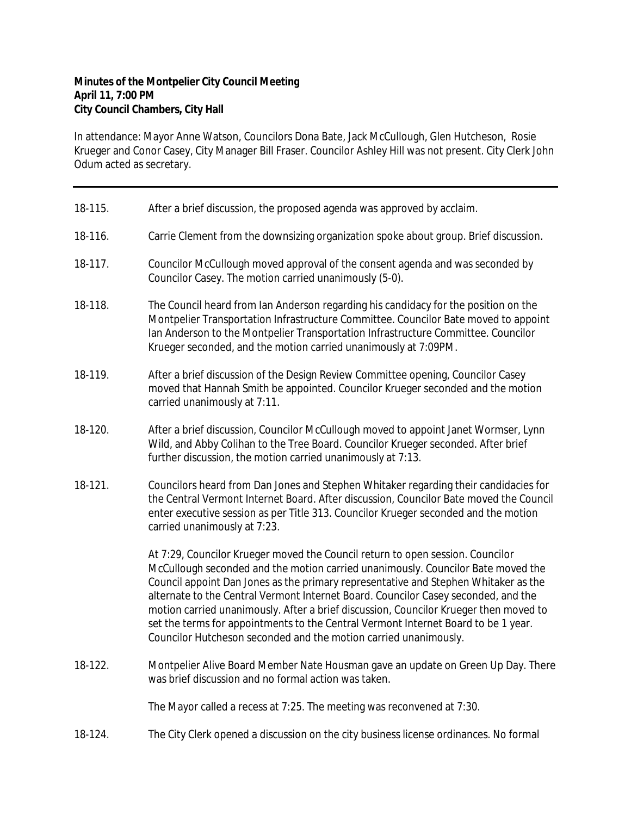## **Minutes of the Montpelier City Council Meeting April 11, 7:00 PM City Council Chambers, City Hall**

In attendance: Mayor Anne Watson, Councilors Dona Bate, Jack McCullough, Glen Hutcheson, Rosie Krueger and Conor Casey, City Manager Bill Fraser. Councilor Ashley Hill was not present. City Clerk John Odum acted as secretary.

| 18-115. | After a brief discussion, the proposed agenda was approved by acclaim.                                                                                                                                                                                                                                                                                                                                                                                                                                                                                                                             |
|---------|----------------------------------------------------------------------------------------------------------------------------------------------------------------------------------------------------------------------------------------------------------------------------------------------------------------------------------------------------------------------------------------------------------------------------------------------------------------------------------------------------------------------------------------------------------------------------------------------------|
| 18-116. | Carrie Clement from the downsizing organization spoke about group. Brief discussion.                                                                                                                                                                                                                                                                                                                                                                                                                                                                                                               |
| 18-117. | Councilor McCullough moved approval of the consent agenda and was seconded by<br>Councilor Casey. The motion carried unanimously (5-0).                                                                                                                                                                                                                                                                                                                                                                                                                                                            |
| 18-118. | The Council heard from Ian Anderson regarding his candidacy for the position on the<br>Montpelier Transportation Infrastructure Committee. Councilor Bate moved to appoint<br>Ian Anderson to the Montpelier Transportation Infrastructure Committee. Councilor<br>Krueger seconded, and the motion carried unanimously at 7:09PM.                                                                                                                                                                                                                                                                 |
| 18-119. | After a brief discussion of the Design Review Committee opening, Councilor Casey<br>moved that Hannah Smith be appointed. Councilor Krueger seconded and the motion<br>carried unanimously at 7:11.                                                                                                                                                                                                                                                                                                                                                                                                |
| 18-120. | After a brief discussion, Councilor McCullough moved to appoint Janet Wormser, Lynn<br>Wild, and Abby Colihan to the Tree Board. Councilor Krueger seconded. After brief<br>further discussion, the motion carried unanimously at 7:13.                                                                                                                                                                                                                                                                                                                                                            |
| 18-121. | Councilors heard from Dan Jones and Stephen Whitaker regarding their candidacies for<br>the Central Vermont Internet Board. After discussion, Councilor Bate moved the Council<br>enter executive session as per Title 313. Councilor Krueger seconded and the motion<br>carried unanimously at 7:23.                                                                                                                                                                                                                                                                                              |
|         | At 7:29, Councilor Krueger moved the Council return to open session. Councilor<br>McCullough seconded and the motion carried unanimously. Councilor Bate moved the<br>Council appoint Dan Jones as the primary representative and Stephen Whitaker as the<br>alternate to the Central Vermont Internet Board. Councilor Casey seconded, and the<br>motion carried unanimously. After a brief discussion, Councilor Krueger then moved to<br>set the terms for appointments to the Central Vermont Internet Board to be 1 year.<br>Councilor Hutcheson seconded and the motion carried unanimously. |
| 18-122. | Montpelier Alive Board Member Nate Housman gave an update on Green Up Day. There<br>was brief discussion and no formal action was taken.                                                                                                                                                                                                                                                                                                                                                                                                                                                           |
|         | The Mayor called a recess at 7:25. The meeting was reconvened at 7:30.                                                                                                                                                                                                                                                                                                                                                                                                                                                                                                                             |
| 18-124. | The City Clerk opened a discussion on the city business license ordinances. No formal                                                                                                                                                                                                                                                                                                                                                                                                                                                                                                              |